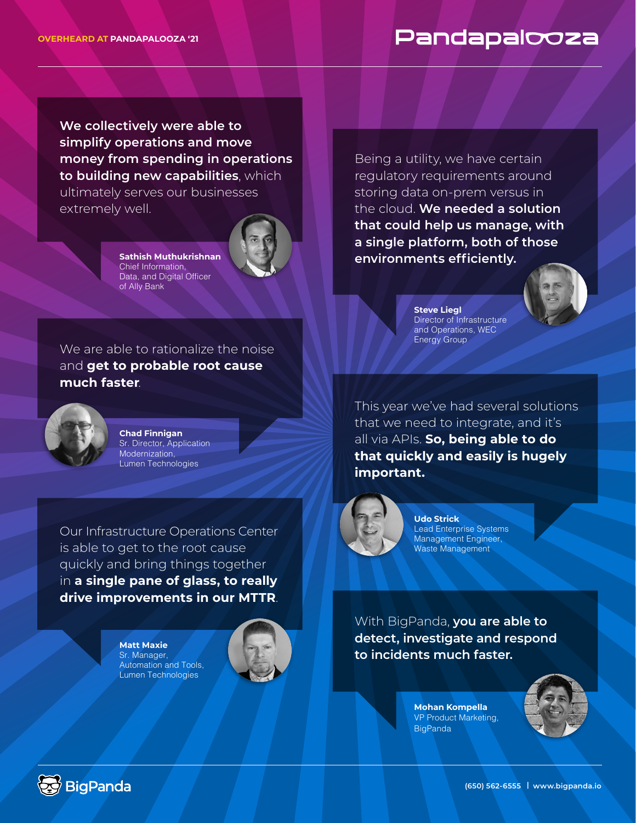## Pandapalooza

**We collectively were able to simplify operations and move money from spending in operations to building new capabilities**, which ultimately serves our businesses extremely well.



**Sathish Muthukrishnan**  Chief Information, Data, and Digital Officer of Ally Bank

We are able to rationalize the noise and **get to probable root cause much faster**.



**Chad Finnigan**  Sr. Director, Application Modernization, Lumen Technologies

Our Infrastructure Operations Center is able to get to the root cause quickly and bring things together in **a single pane of glass, to really drive improvements in our MTTR**.

> **Matt Maxie** Sr. Manager, Automation and Tools, Lumen Technologies



Being a utility, we have certain regulatory requirements around storing data on-prem versus in the cloud. **We needed a solution that could help us manage, with a single platform, both of those environments efficiently.**



**Steve Liegl**  Director of Infrastructure and Operations, WEC Energy Group

This year we've had several solutions that we need to integrate, and it's all via APIs. **So, being able to do that quickly and easily is hugely important.** 



**Udo Strick** Lead Enterprise Systems Management Engineer, Waste Management

With BigPanda, **you are able to detect, investigate and respond to incidents much faster.**

> **Mohan Kompella** VP Product Marketing, **BigPanda**





**(650) 562-6555 | www.bigpanda.io**